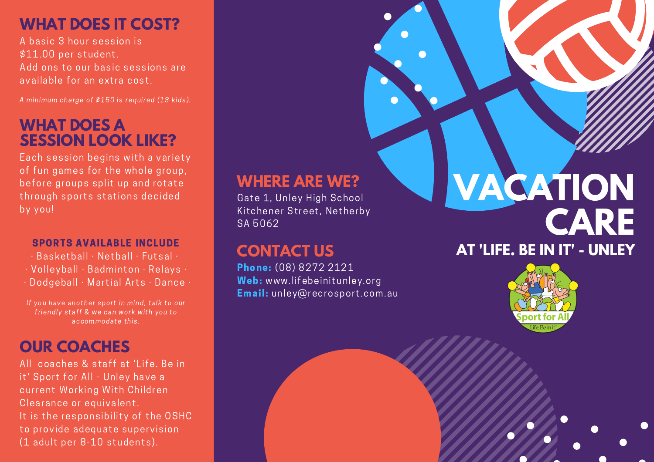## **WHAT DOES IT COST?**

A basic 3 hour session is \$11.00 per student. Add ons to our basic sessions are available for an extra cost.

A minimum charge of \$150 is required (13 kids).

#### **WHAT DOES A SESSION LOOK LIKE?**

Each session begins with a variety of fun games for the whole group, before groups split up and rotate through sports stations decided by you!

#### SPORTS AVAILABLE INCLUDE

· Basketball · Netball · Futsal · · Volleyball · Badminton · Relays · · Dodgeball · Martial Arts · Dance ·

If you have another sport in mind, talk to our friendly staff & we can work with you to accommodate this.

# **OUR COACHES**

All coaches & staff at 'Life. Be in it' Sport for All - Unley have a current Working With Children Clearance or equivalent. It is the responsibility of the OSHC to provide adequate supervision (1 adult per 8-10 students).

### **WHERE ARE WE?**

Gate 1, Unley High School Kitchener Street, Netherby SA 5062

Phone: (08) 8272 2121 Web: www.lifebeinitunley.org Email: unley@recrosport.com.au

# **VACATION CARE**

#### **CONTACT US AT 'LIFE. BE IN IT' - UNLEY**